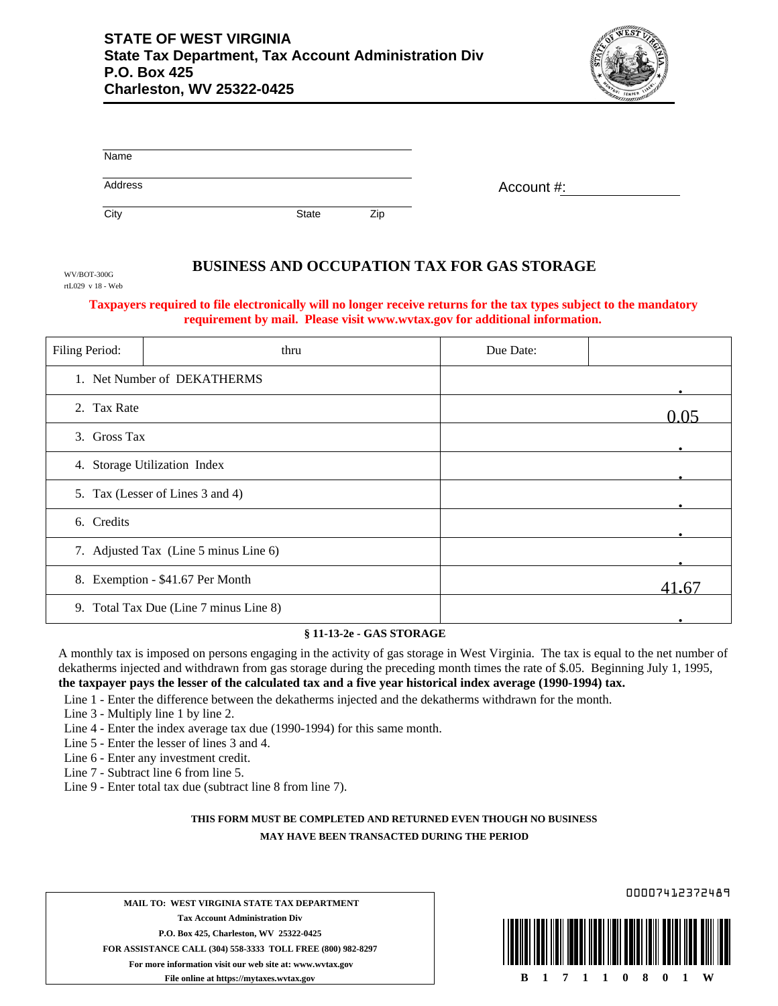

| Name    |              |     |            |
|---------|--------------|-----|------------|
| Address |              |     | Account #: |
| City    | <b>State</b> | Zip |            |

## **BUSINESS AND OCCUPATION TAX FOR GAS STORAGE**

WV/BOT-300G rtL029 v 18 - Web

## **Taxpayers required to file electronically will no longer receive returns for the tax types subject to the mandatory requirement by mail. Please visit www.wvtax.gov for additional information.**

| Filing Period:                        | thru                                   | Due Date: |       |
|---------------------------------------|----------------------------------------|-----------|-------|
|                                       | 1. Net Number of DEKATHERMS            |           |       |
| 2. Tax Rate                           |                                        |           | 0.05  |
| 3. Gross Tax                          |                                        |           |       |
|                                       | 4. Storage Utilization Index           |           |       |
|                                       | 5. Tax (Lesser of Lines 3 and 4)       |           |       |
| 6. Credits                            |                                        |           |       |
| 7. Adjusted Tax (Line 5 minus Line 6) |                                        |           |       |
| 8. Exemption - \$41.67 Per Month      |                                        |           | 41.67 |
|                                       | 9. Total Tax Due (Line 7 minus Line 8) |           |       |

## **§ 11-13-2e - GAS STORAGE**

A monthly tax is imposed on persons engaging in the activity of gas storage in West Virginia. The tax is equal to the net number of dekatherms injected and withdrawn from gas storage during the preceding month times the rate of \$.05. Beginning July 1, 1995, **the taxpayer pays the lesser of the calculated tax and a five year historical index average (1990-1994) tax.**

Line 1 - Enter the difference between the dekatherms injected and the dekatherms withdrawn for the month.

- Line 3 Multiply line 1 by line 2.
- Line 4 Enter the index average tax due (1990-1994) for this same month.
- Line 5 Enter the lesser of lines 3 and 4.
- Line 6 Enter any investment credit.
- Line 7 Subtract line 6 from line 5.
- Line 9 Enter total tax due (subtract line 8 from line 7).

## **THIS FORM MUST BE COMPLETED AND RETURNED EVEN THOUGH NO BUSINESS MAY HAVE BEEN TRANSACTED DURING THE PERIOD**

**MAIL TO: WEST VIRGINIA STATE TAX DEPARTMENT Tax Account Administration Div P.O. Box 425, Charleston, WV 25322-0425 FOR ASSISTANCE CALL (304) 558-3333 TOLL FREE (800) 982-8297 For more information visit our web site at: www.wvtax.gov File online at https://mytaxes.wvtax.gov**

00007412372489